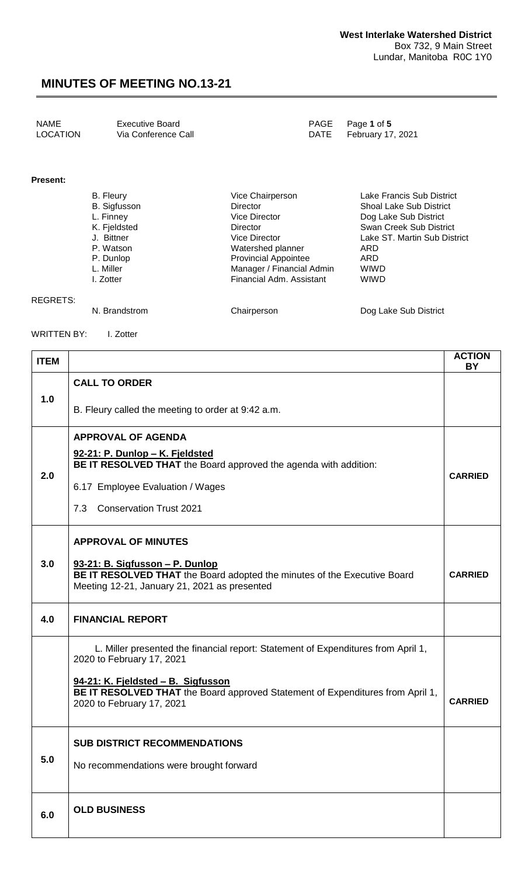#### **Present:**

| B. Fleury           | Vice Chairperson            | Lake Francis Sub District      |
|---------------------|-----------------------------|--------------------------------|
| <b>B.</b> Sigfusson | <b>Director</b>             | <b>Shoal Lake Sub District</b> |
| L. Finney           | <b>Vice Director</b>        | Dog Lake Sub District          |
| K. Fjeldsted        | Director                    | Swan Creek Sub District        |
| J. Bittner          | <b>Vice Director</b>        | Lake ST. Martin Sub District   |
| P. Watson           | Watershed planner           | ARD                            |
| P. Dunlop           | <b>Provincial Appointee</b> | ARD                            |
| L. Miller           | Manager / Financial Admin   | <b>WIWD</b>                    |
| I. Zotter           | Financial Adm. Assistant    | <b>WIWD</b>                    |
|                     |                             |                                |
|                     |                             |                                |

REGRETS: N. Brandstrom **Chairperson** Chairperson Dog Lake Sub District

WRITTEN BY: I. Zotter

| <b>ITEM</b> |                                                                                                                                                             | <b>ACTION</b><br><b>BY</b> |  |
|-------------|-------------------------------------------------------------------------------------------------------------------------------------------------------------|----------------------------|--|
|             | <b>CALL TO ORDER</b>                                                                                                                                        |                            |  |
| 1.0         | B. Fleury called the meeting to order at 9:42 a.m.                                                                                                          |                            |  |
|             | <b>APPROVAL OF AGENDA</b><br>92-21: P. Dunlop - K. Fjeldsted                                                                                                |                            |  |
| 2.0         | BE IT RESOLVED THAT the Board approved the agenda with addition:<br>6.17 Employee Evaluation / Wages                                                        | <b>CARRIED</b>             |  |
|             | <b>Conservation Trust 2021</b><br>7.3                                                                                                                       |                            |  |
|             | <b>APPROVAL OF MINUTES</b>                                                                                                                                  |                            |  |
| 3.0         | 93-21: B. Sigfusson - P. Dunlop<br>BE IT RESOLVED THAT the Board adopted the minutes of the Executive Board<br>Meeting 12-21, January 21, 2021 as presented | <b>CARRIED</b>             |  |
| 4.0         | <b>FINANCIAL REPORT</b>                                                                                                                                     |                            |  |
|             | L. Miller presented the financial report: Statement of Expenditures from April 1,<br>2020 to February 17, 2021                                              |                            |  |
|             | 94-21: K. Fjeldsted – B. Sigfusson<br>BE IT RESOLVED THAT the Board approved Statement of Expenditures from April 1,<br>2020 to February 17, 2021           | <b>CARRIED</b>             |  |
|             | <b>SUB DISTRICT RECOMMENDATIONS</b>                                                                                                                         |                            |  |
| 5.0         | No recommendations were brought forward                                                                                                                     |                            |  |
| 6.0         | <b>OLD BUSINESS</b>                                                                                                                                         |                            |  |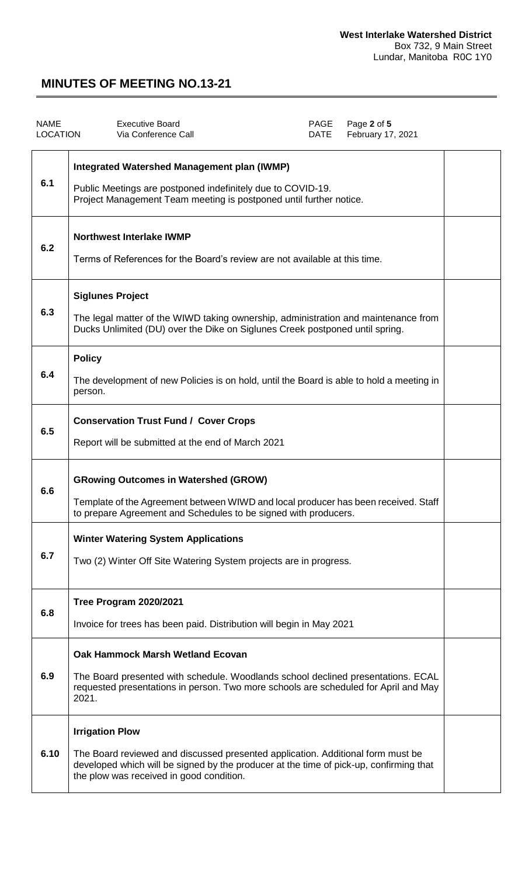| <b>NAME</b><br><b>LOCATION</b> | <b>Executive Board</b><br>Via Conference Call                                                                                                                                                                                                   | PAGE<br>DATE | Page 2 of 5<br>February 17, 2021 |  |
|--------------------------------|-------------------------------------------------------------------------------------------------------------------------------------------------------------------------------------------------------------------------------------------------|--------------|----------------------------------|--|
| 6.1                            | <b>Integrated Watershed Management plan (IWMP)</b><br>Public Meetings are postponed indefinitely due to COVID-19.<br>Project Management Team meeting is postponed until further notice.                                                         |              |                                  |  |
| 6.2                            | <b>Northwest Interlake IWMP</b><br>Terms of References for the Board's review are not available at this time.                                                                                                                                   |              |                                  |  |
| 6.3                            | <b>Siglunes Project</b><br>The legal matter of the WIWD taking ownership, administration and maintenance from<br>Ducks Unlimited (DU) over the Dike on Siglunes Creek postponed until spring.                                                   |              |                                  |  |
| 6.4                            | <b>Policy</b><br>The development of new Policies is on hold, until the Board is able to hold a meeting in<br>person.                                                                                                                            |              |                                  |  |
| 6.5                            | <b>Conservation Trust Fund / Cover Crops</b><br>Report will be submitted at the end of March 2021                                                                                                                                               |              |                                  |  |
| 6.6                            | <b>GRowing Outcomes in Watershed (GROW)</b><br>Template of the Agreement between WIWD and local producer has been received. Staff<br>to prepare Agreement and Schedules to be signed with producers.                                            |              |                                  |  |
| 6.7                            | <b>Winter Watering System Applications</b><br>Two (2) Winter Off Site Watering System projects are in progress.                                                                                                                                 |              |                                  |  |
| 6.8                            | Tree Program 2020/2021<br>Invoice for trees has been paid. Distribution will begin in May 2021                                                                                                                                                  |              |                                  |  |
| 6.9                            | <b>Oak Hammock Marsh Wetland Ecovan</b><br>The Board presented with schedule. Woodlands school declined presentations. ECAL<br>requested presentations in person. Two more schools are scheduled for April and May<br>2021.                     |              |                                  |  |
| 6.10                           | <b>Irrigation Plow</b><br>The Board reviewed and discussed presented application. Additional form must be<br>developed which will be signed by the producer at the time of pick-up, confirming that<br>the plow was received in good condition. |              |                                  |  |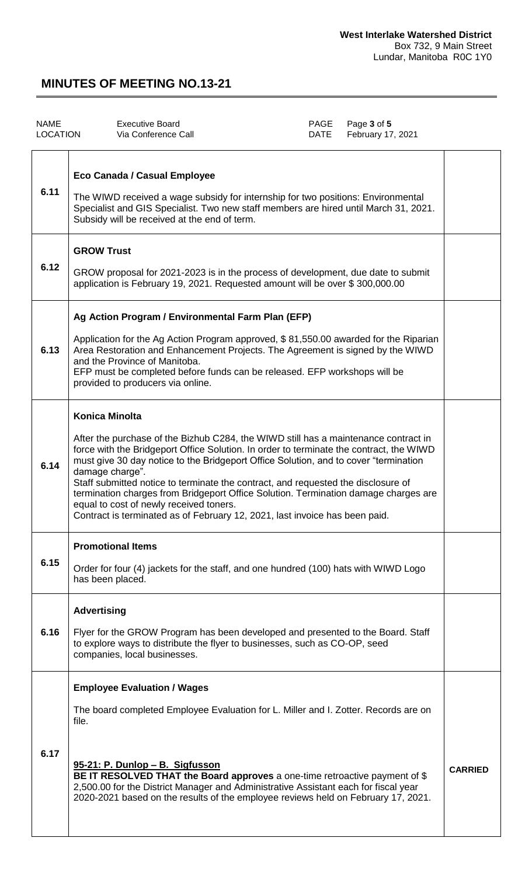| <b>NAME</b><br><b>LOCATION</b> | <b>Executive Board</b><br>Via Conference Call                                                                                                                                                                                                                                                                                                                                                                                                                                                                                                                                                                            | PAGE<br>DATE | Page 3 of 5<br>February 17, 2021 |                |
|--------------------------------|--------------------------------------------------------------------------------------------------------------------------------------------------------------------------------------------------------------------------------------------------------------------------------------------------------------------------------------------------------------------------------------------------------------------------------------------------------------------------------------------------------------------------------------------------------------------------------------------------------------------------|--------------|----------------------------------|----------------|
| 6.11                           | Eco Canada / Casual Employee<br>The WIWD received a wage subsidy for internship for two positions: Environmental<br>Specialist and GIS Specialist. Two new staff members are hired until March 31, 2021.<br>Subsidy will be received at the end of term.                                                                                                                                                                                                                                                                                                                                                                 |              |                                  |                |
| 6.12                           | <b>GROW Trust</b><br>GROW proposal for 2021-2023 is in the process of development, due date to submit<br>application is February 19, 2021. Requested amount will be over \$300,000.00                                                                                                                                                                                                                                                                                                                                                                                                                                    |              |                                  |                |
| 6.13                           | Ag Action Program / Environmental Farm Plan (EFP)<br>Application for the Ag Action Program approved, \$81,550.00 awarded for the Riparian<br>Area Restoration and Enhancement Projects. The Agreement is signed by the WIWD<br>and the Province of Manitoba.<br>EFP must be completed before funds can be released. EFP workshops will be<br>provided to producers via online.                                                                                                                                                                                                                                           |              |                                  |                |
| 6.14                           | <b>Konica Minolta</b><br>After the purchase of the Bizhub C284, the WIWD still has a maintenance contract in<br>force with the Bridgeport Office Solution. In order to terminate the contract, the WIWD<br>must give 30 day notice to the Bridgeport Office Solution, and to cover "termination<br>damage charge".<br>Staff submitted notice to terminate the contract, and requested the disclosure of<br>termination charges from Bridgeport Office Solution. Termination damage charges are<br>equal to cost of newly received toners.<br>Contract is terminated as of February 12, 2021, last invoice has been paid. |              |                                  |                |
| 6.15                           | <b>Promotional Items</b><br>Order for four (4) jackets for the staff, and one hundred (100) hats with WIWD Logo<br>has been placed.                                                                                                                                                                                                                                                                                                                                                                                                                                                                                      |              |                                  |                |
| 6.16                           | <b>Advertising</b><br>Flyer for the GROW Program has been developed and presented to the Board. Staff<br>to explore ways to distribute the flyer to businesses, such as CO-OP, seed<br>companies, local businesses.                                                                                                                                                                                                                                                                                                                                                                                                      |              |                                  |                |
| 6.17                           | <b>Employee Evaluation / Wages</b><br>The board completed Employee Evaluation for L. Miller and I. Zotter. Records are on<br>file.                                                                                                                                                                                                                                                                                                                                                                                                                                                                                       |              |                                  |                |
|                                | 95-21: P. Dunlop - B. Sigfusson<br>BE IT RESOLVED THAT the Board approves a one-time retroactive payment of \$<br>2,500.00 for the District Manager and Administrative Assistant each for fiscal year<br>2020-2021 based on the results of the employee reviews held on February 17, 2021.                                                                                                                                                                                                                                                                                                                               |              |                                  | <b>CARRIED</b> |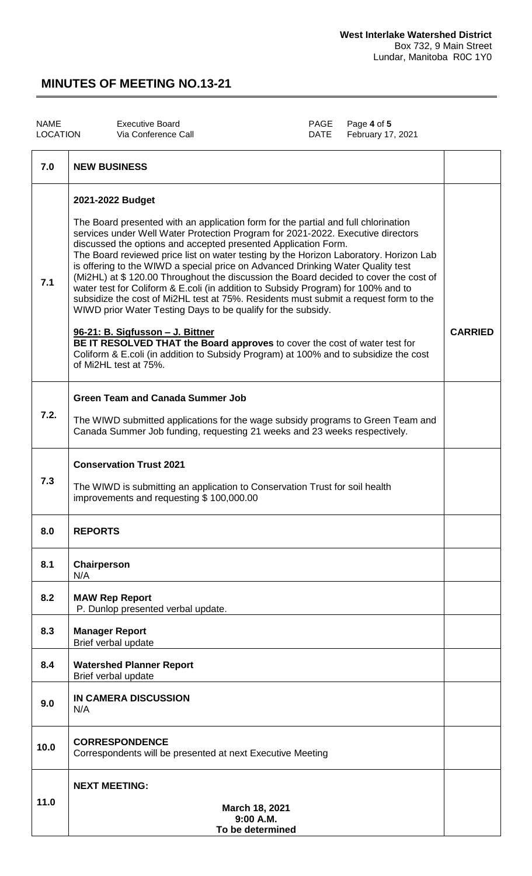| <b>NAME</b><br><b>LOCATION</b> | <b>Executive Board</b><br>Via Conference Call                                                                                                                                                                                                                                                                                                                                                                                                                                                                                                                                                                                                                                                                                                                                                                                                                                                                                                                                                                   | PAGE<br><b>DATE</b> | Page 4 of 5<br>February 17, 2021 |                |
|--------------------------------|-----------------------------------------------------------------------------------------------------------------------------------------------------------------------------------------------------------------------------------------------------------------------------------------------------------------------------------------------------------------------------------------------------------------------------------------------------------------------------------------------------------------------------------------------------------------------------------------------------------------------------------------------------------------------------------------------------------------------------------------------------------------------------------------------------------------------------------------------------------------------------------------------------------------------------------------------------------------------------------------------------------------|---------------------|----------------------------------|----------------|
| 7.0                            | <b>NEW BUSINESS</b>                                                                                                                                                                                                                                                                                                                                                                                                                                                                                                                                                                                                                                                                                                                                                                                                                                                                                                                                                                                             |                     |                                  |                |
| 7.1                            | 2021-2022 Budget<br>The Board presented with an application form for the partial and full chlorination<br>services under Well Water Protection Program for 2021-2022. Executive directors<br>discussed the options and accepted presented Application Form.<br>The Board reviewed price list on water testing by the Horizon Laboratory. Horizon Lab<br>is offering to the WIWD a special price on Advanced Drinking Water Quality test<br>(Mi2HL) at \$120.00 Throughout the discussion the Board decided to cover the cost of<br>water test for Coliform & E.coli (in addition to Subsidy Program) for 100% and to<br>subsidize the cost of Mi2HL test at 75%. Residents must submit a request form to the<br>WIWD prior Water Testing Days to be qualify for the subsidy.<br>96-21: B. Sigfusson - J. Bittner<br>BE IT RESOLVED THAT the Board approves to cover the cost of water test for<br>Coliform & E.coli (in addition to Subsidy Program) at 100% and to subsidize the cost<br>of Mi2HL test at 75%. |                     |                                  | <b>CARRIED</b> |
| 7.2.                           | <b>Green Team and Canada Summer Job</b><br>The WIWD submitted applications for the wage subsidy programs to Green Team and<br>Canada Summer Job funding, requesting 21 weeks and 23 weeks respectively.                                                                                                                                                                                                                                                                                                                                                                                                                                                                                                                                                                                                                                                                                                                                                                                                         |                     |                                  |                |
| 7.3                            | <b>Conservation Trust 2021</b><br>The WIWD is submitting an application to Conservation Trust for soil health<br>improvements and requesting \$100,000.00                                                                                                                                                                                                                                                                                                                                                                                                                                                                                                                                                                                                                                                                                                                                                                                                                                                       |                     |                                  |                |
| 8.0                            | <b>REPORTS</b>                                                                                                                                                                                                                                                                                                                                                                                                                                                                                                                                                                                                                                                                                                                                                                                                                                                                                                                                                                                                  |                     |                                  |                |
| 8.1                            | Chairperson<br>N/A                                                                                                                                                                                                                                                                                                                                                                                                                                                                                                                                                                                                                                                                                                                                                                                                                                                                                                                                                                                              |                     |                                  |                |
| 8.2                            | <b>MAW Rep Report</b><br>P. Dunlop presented verbal update.                                                                                                                                                                                                                                                                                                                                                                                                                                                                                                                                                                                                                                                                                                                                                                                                                                                                                                                                                     |                     |                                  |                |
| 8.3                            | <b>Manager Report</b><br>Brief verbal update                                                                                                                                                                                                                                                                                                                                                                                                                                                                                                                                                                                                                                                                                                                                                                                                                                                                                                                                                                    |                     |                                  |                |
| 8.4                            | <b>Watershed Planner Report</b><br>Brief verbal update                                                                                                                                                                                                                                                                                                                                                                                                                                                                                                                                                                                                                                                                                                                                                                                                                                                                                                                                                          |                     |                                  |                |
| 9.0                            | <b>IN CAMERA DISCUSSION</b><br>N/A                                                                                                                                                                                                                                                                                                                                                                                                                                                                                                                                                                                                                                                                                                                                                                                                                                                                                                                                                                              |                     |                                  |                |
| 10.0                           | <b>CORRESPONDENCE</b><br>Correspondents will be presented at next Executive Meeting                                                                                                                                                                                                                                                                                                                                                                                                                                                                                                                                                                                                                                                                                                                                                                                                                                                                                                                             |                     |                                  |                |
|                                | <b>NEXT MEETING:</b>                                                                                                                                                                                                                                                                                                                                                                                                                                                                                                                                                                                                                                                                                                                                                                                                                                                                                                                                                                                            |                     |                                  |                |
| 11.0                           | March 18, 2021                                                                                                                                                                                                                                                                                                                                                                                                                                                                                                                                                                                                                                                                                                                                                                                                                                                                                                                                                                                                  |                     |                                  |                |

**9:00 A.M. To be determined**